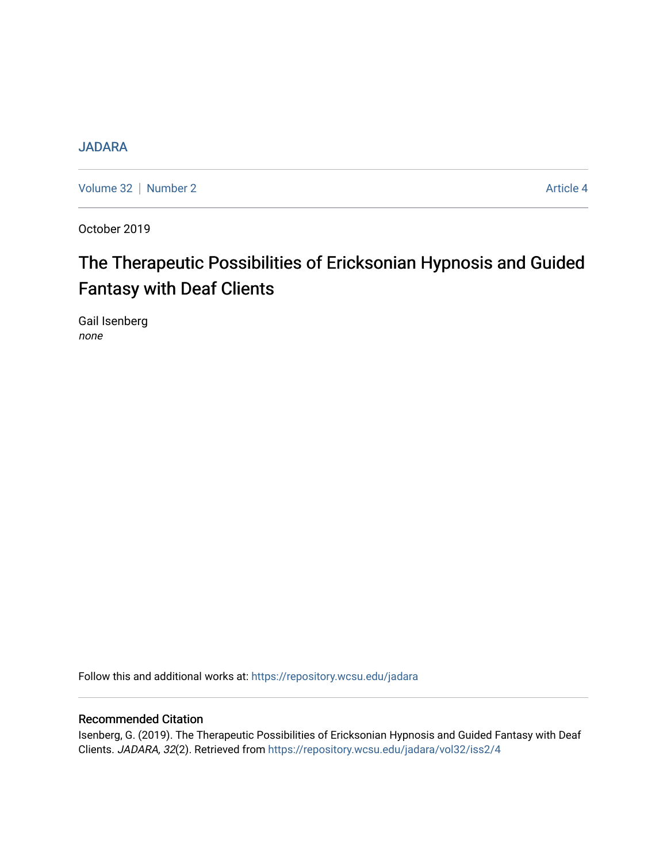# **[JADARA](https://repository.wcsu.edu/jadara)**

[Volume 32](https://repository.wcsu.edu/jadara/vol32) | [Number 2](https://repository.wcsu.edu/jadara/vol32/iss2) Article 4

October 2019

# The Therapeutic Possibilities of Ericksonian Hypnosis and Guided Fantasy with Deaf Clients

Gail Isenberg none

Follow this and additional works at: [https://repository.wcsu.edu/jadara](https://repository.wcsu.edu/jadara?utm_source=repository.wcsu.edu%2Fjadara%2Fvol32%2Fiss2%2F4&utm_medium=PDF&utm_campaign=PDFCoverPages)

# Recommended Citation

Isenberg, G. (2019). The Therapeutic Possibilities of Ericksonian Hypnosis and Guided Fantasy with Deaf Clients. JADARA, 32(2). Retrieved from [https://repository.wcsu.edu/jadara/vol32/iss2/4](https://repository.wcsu.edu/jadara/vol32/iss2/4?utm_source=repository.wcsu.edu%2Fjadara%2Fvol32%2Fiss2%2F4&utm_medium=PDF&utm_campaign=PDFCoverPages)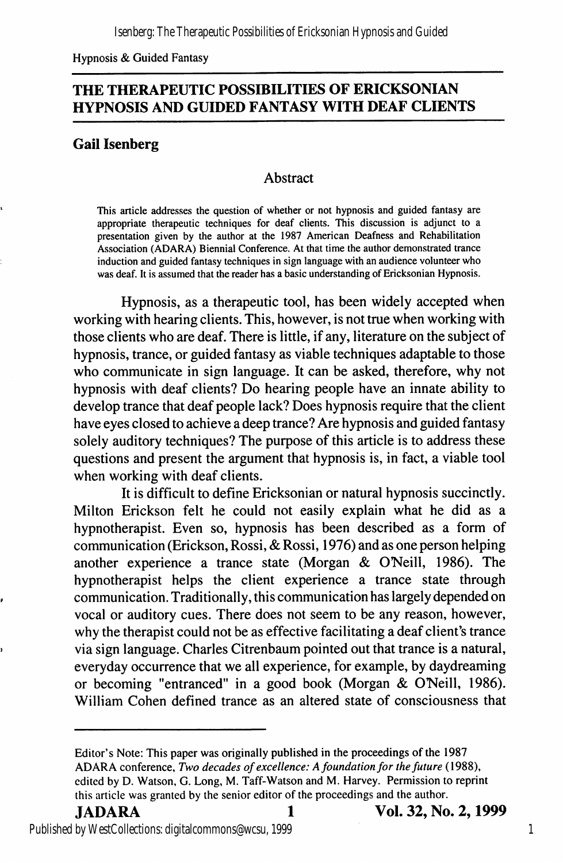Hypnosis & Guided Fantasy

# THE THERAPEUTIC POSSIBILITIES OF ERICKSONIAN HYPNOSIS AND GUIDED FANTASY WITH DEAF CLIENTS

# Gail Isenberg

## Abstract

This article addresses the question of whether or not hypnosis and guided fantasy are appropriate therapeutic techniques for deaf clients. This discussion is adjunct to a presentation given by the author at the 1987 American Deafness and Rehabilitation Association (ADARA) Biennial Conference. At that time the author demonstrated trance induction and guided fantasy techniques in sign language with an audience volunteer who was deaf. It is assumed that the reader has a basic understanding of Ericksonian Hypnosis.

Hypnosis, as a therapeutic tool, has been widely accepted when working with hearing clients. This, however, is not true when working with those clients who are deaf. There is little, if any, literature on the subject of hypnosis, trance, or guided fantasy as viable techniques adaptable to those who communicate in sign language. It can be asked, therefore, why not hypnosis with deaf clients? Do hearing people have an innate ability to develop trance that deaf people lack? Does hypnosis require that the client have eyes closed to achieve a deep trance? Are hypnosis and guided fantasy solely auditory techniques? The purpose of this article is to address these questions and present the argument that hypnosis is, in fact, a viable tool when working with deaf clients.

It is difficult to define Ericksonian or natural hypnosis succinctly. Milton Erickson felt he could not easily explain what he did as a hypnotherapist. Even so, hypnosis has been described as a form of communication (Erickson, Rossi, & Rossi, 1976) and as one person helping another experience a trance state (Morgan & O'Neill, 1986). The hypnotherapist helps the client experience a trance state through communication. Traditionally, this communication has largely depended on vocal or auditory cues. There does not seem to be any reason, however, why the therapist could not be as effective facilitating a deaf client's trance via sign language. Charles Citrenbaum pointed out that trance is a natural, everyday occurrence that we all experience, for example, by daydreaming or becoming "entranced" in a good book (Morgan & ONeill, 1986). William Cohen defined trance as an altered state of consciousness that

Editor's Note: This paper was originally published in the proceedings of the 1987 ADARA conference. Two decades of excellence: A foundation for the future (1988), edited by D. Watson, G. Long, M. Taff-Watson and M. Harvey. Permission to reprint this article was granted by the senior editor of the proceedings and the author.

Published by WestCollections: digitalcommons@wcsu, 1999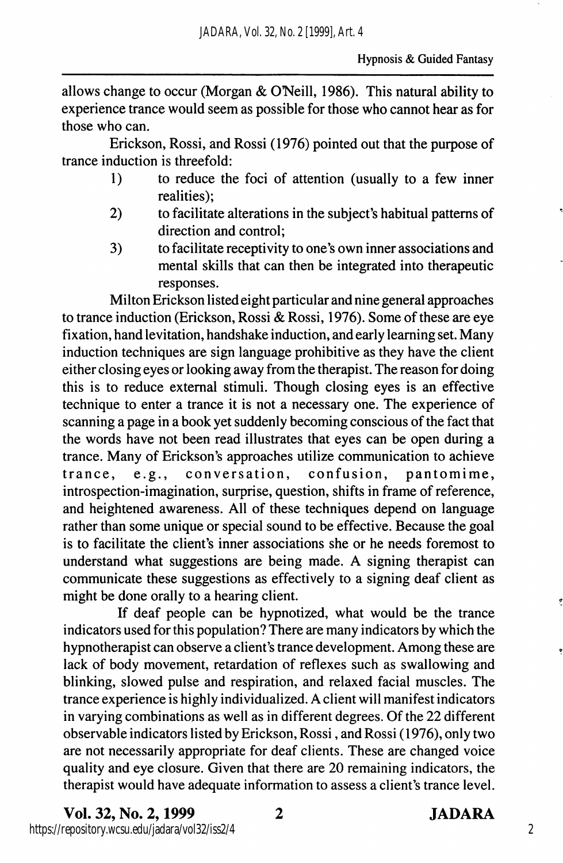allows change to occur (Morgan  $&$  O'Neill, 1986). This natural ability to experience trance would seem as possible for those who cannot hear as for those who can.

Erickson, Rossi, and Rossi (1976) pointed out that the purpose of trance induction is threefold:

- 1) to reduce the foci of attention (usually to a few inner realities);
- 2) to facilitate alterations in the subject's habitual patterns of direction and control;
- 3) to facilitate receptivity to one's own inner associations and mental skills that can then be integrated into therapeutic responses.

Milton Erickson listed eight particular and nine general approaches to trance induction (Erickson, Rossi & Rossi, 1976). Some of these are eye fixation, hand levitation, handshake induction, and early learning set. Many induction techniques are sign language prohibitive as they have the client either closing eyes or looking away from the therapist. The reason for doing this is to reduce external stimuli. Though closing eyes is an effective technique to enter a trance it is not a necessary one. The experience of scanning a page in a book yet suddenly becoming conscious of the fact that the words have not been read illustrates that eyes can be open during a trance. Many of Erickson's approaches utilize communication to achieve<br>trance, e.g., conversation, confusion, pantomime, trance, e.g., conversation, confusion, pantomime, introspection-imagination, surprise, question, shifts in frame of reference, and heightened awareness. All of these techniques depend on language rather than some unique or special sound to be effective. Because the goal is to facilitate the client's inner associations she or he needs foremost to understand what suggestions are being made. A signing therapist can communicate these suggestions as effectively to a signing deaf client as might be done orally to a hearing client.

If deaf people can be hypnotized, what would be the trance indicators used for this population? There are many indicators by which the hypnotherapist can observe a client's trance development. Among these are lack of body movement, retardation of reflexes such as swallowing and blinking, slowed pulse and respiration, and relaxed facial muscles. The trance experience is highly individualized. A client will manifest indicators in varying combinations as well as in different degrees. Of the 22 different observable indicators listed by Erickson, Rossi, and Rossi (1976), only two are not necessarily appropriate for deaf clients. These are changed voice quality and eye closure. Given that there are 20 remaining indicators, the therapist would have adequate information to assess a client's trance level.

Vol. 32, No. 2,1999 2 JADARA https://repository.wcsu.edu/jadara/vol32/iss2/4

2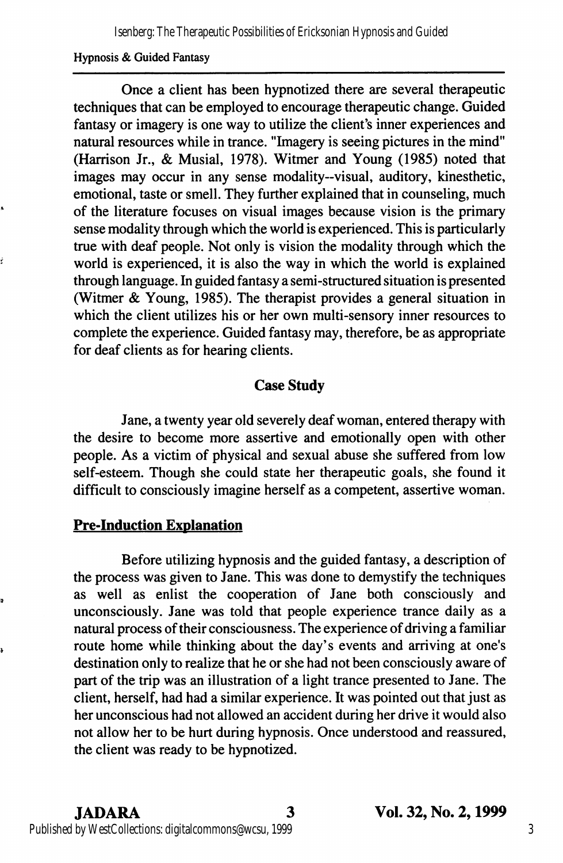#### Hypnosis & Guided Fantasy

Once a client has been hypnotized there are several therapeutic techniques that can be employed to encourage therapeutic change. Guided fantasy or imagery is one way to utilize the client's inner experiences and natural resources while in trance. "Imagery is seeing pictures in the mind" (Harrison Jr., & Musial, 1978). Witmer and Young (1985) noted that images may occur in any sense modality—visual, auditory, kinesthetic, emotional, taste or smell. They further explained that in counseling, much of the literature focuses on visual images because vision is the primary sense modality through which the world is experienced. This is particularly true with deaf people. Not only is vision the modality through which the world is experienced, it is also the way in which the world is explained through language. In guided fantasy a semi-structured situation is presented (Witmer & Young, 1985). The therapist provides a general situation in which the client utilizes his or her own multi-sensory inner resources to complete the experience. Guided fantasy may, therefore, be as appropriate for deaf clients as for hearing clients.

# Case Study

Jane, a twenty year old severely deaf woman, entered therapy with the desire to become more assertive and emotionally open with other people. As a victim of physical and sexual abuse she suffered from low self-esteem. Though she could state her therapeutic goals, she found it difficult to consciously imagine herself as a competent, assertive woman.

# Pre-Induction Explanation

Ľ

Before utilizing hypnosis and the guided fantasy, a description of the process was given to Jane. This was done to demystify the techniques as well as enlist the cooperation of Jane both consciously and unconsciously. Jane was told that people experience trance daily as a natural process of their consciousness. The experience of driving a familiar route home while thinking about the day's events and arriving at one's destination only to realize that he or she had not been consciously aware of part of the trip was an illustration of a light trance presented to Jane. The client, herself, had had a similar experience. It was pointed out that just as her unconscious had not allowed an accident during her drive it would also not allow her to be hurt during hypnosis. Once understood and reassured, the client was ready to be hypnotized.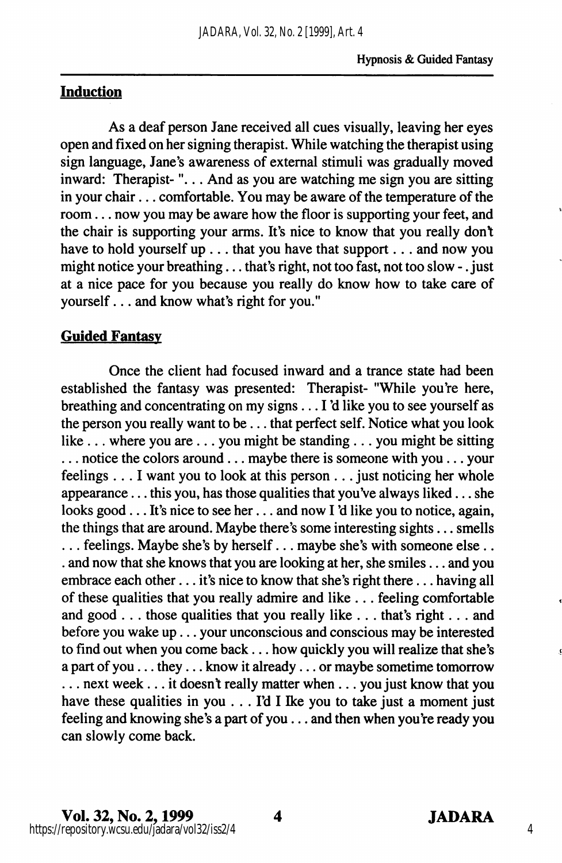# Induction

As a deaf person Jane received all cues visually, leaving her eyes open and fixed on her signing therapist. While watching the therapist using sign language, Jane's awareness of external stimuli was gradually moved inward: Therapist-"... And as you are watching me sign you are sitting in your chair... comfortable. You may be aware of the temperature of the room... now you may be aware how the floor is supporting your feet, and the chair is supporting your arms. It's nice to know that you really dont have to hold yourself up . . . that you have that support . . . and now you might notice your breathing . . . that's right, not too fast, not too slow - . just at a nice pace for you because you really do know how to take care of yourself... and know what's right for you."

# Guided Fantasy

Once the client had focused inward and a trance state had been established the fantasy was presented: Therapist- "While you're here, breathing and concentrating on my signs... I'd like you to see yourself as the person you really want to be... that perfect self. Notice what you look like ... where you are ... you might be standing... you might be sitting ... notice the colors around... maybe there is someone with you ... your feelings ... I want you to look at this person ... just noticing her whole appearance... this you, has those qualities that you've always liked... she looks good... It's nice to see her... and now I'd like you to notice, again, the things that are around. Maybe there's some interesting sights... smells ... feelings. Maybe she's by herself... maybe she's with some one else... . and now that she knows that you are looking at her, she smiles... and you embrace each other... it's nice to know that she's right there... having all of these qualities that you really admire and like ... feeling comfortable and good . . . those qualities that you really like . .. that's right.. . and before you wake up... your unconscious and conscious may be interested to find out when you come back... how quickly you will realize that she's a part of you... they... know it already... or maybe sometime tomorrow ... next week... it doesn't really matter when ... you just know that you have these qualities in you  $\ldots$  I'd I I ke you to take just a moment just feeling and knowing she's a part of you  $\dots$  and then when you're ready you can slowly come back.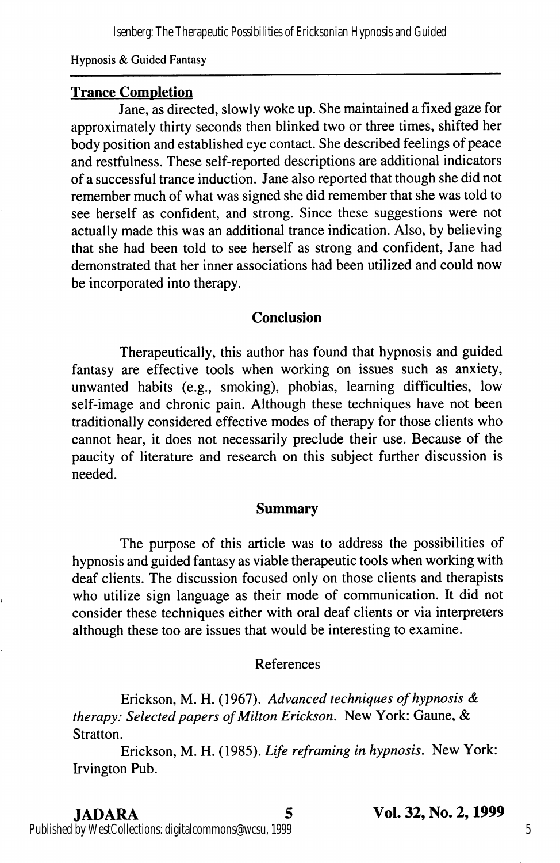Isenberg: The Therapeutic Possibilities of Ericksonian Hypnosis and Guided

Hypnosis & Guided Fantasy

#### Trance Completion

Jane, as directed, slowly woke up. She maintained a fixed gaze for approximately thirty seconds then blinked two or three times, shifted her body position and established eye contact. She described feelings of peace and restfulness. These self-reported descriptions are additional indicators of a successful trance induction. Jane also reported that though she did not remember much of what was signed she did remember that she was told to see herself as confident, and strong. Since these suggestions were not actually made this was an additional trance indication. Also, by believing that she had been told to see herself as strong and confident, Jane had demonstrated that her inner associations had been utilized and could now be incorporated into therapy.

#### **Conclusion**

Therapeutically, this author has found that hypnosis and guided fantasy are effective tools when working on issues such as anxiety, unwanted habits (e.g., smoking), phobias, learning difficulties, low self-image and chronic pain. Although these techniques have not been traditionally considered effective modes of therapy for those clients who cannot hear, it does not necessarily preclude their use. Because of the paucity of literature and research on this subject further discussion is needed.

#### Summary

The purpose of this article was to address the possibilities of hypnosis and guided fantasy as viable therapeutic tools when working with deaf clients. The discussion focused only on those clients and therapists who utilize sign language as their mode of communication. It did not consider these techniques either with oral deaf clients or via interpreters although these too are issues that would be interesting to examine.

#### References

Erickson, M. H. (1967). Advanced techniques of hypnosis & therapy: Selected papers of Milton Erickson. New York: Gaune, & Stratton.

Erickson, M. H. (1985). Life reframing in hypnosis. New York: Irvington Pub.

JADARA 5 Vol. 32, No. 2,1999

Published by WestCollections: digitalcommons@wcsu, 1999

5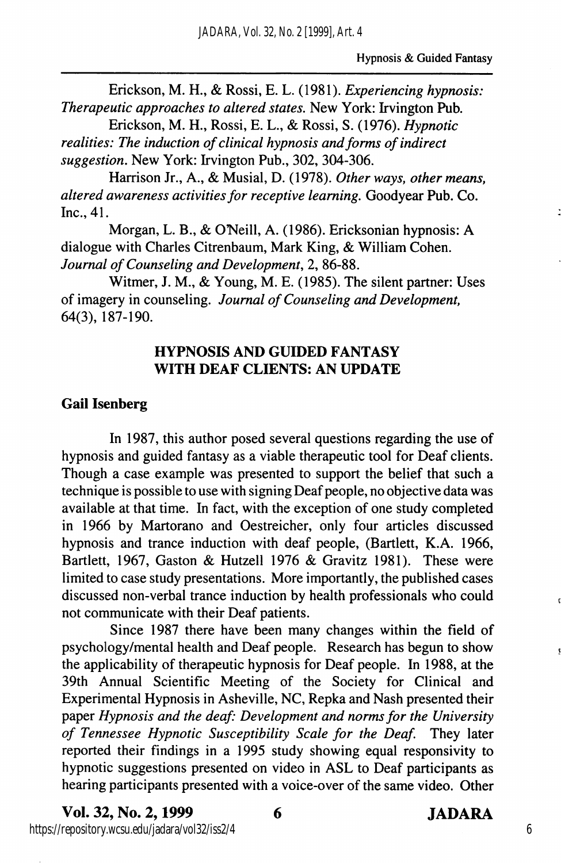Erickson, M. H., & Rossi, E. L. (1981). Experiencing hypnosis: Therapeutic approaches to altered states. New York: Irvington Pub.

Erickson, M. H., Rossi, E. L., & Rossi, S. (1976). Hypnotic realities: The induction of clinical hypnosis and forms of indirect suggestion. New York: Irvington Pub., 302, 304-306.

Harrison Jr., A., & Musial, D. (1978). Other ways, other means, altered awareness activities for receptive learning. Goodyear Pub. Co. Inc., 41.

Morgan, L. B., & O'Neill, A. (1986). Ericksonian hypnosis: A dialogue with Charles Citrenbaum, Mark King, & William Cohen. Journal of Counseling and Development, 2, 86-88.

Witmer, J. M., & Young, M. E. (1985). The silent partner: Uses of imagery in counseling. Journal of Counseling and Development, 64(3), 187-190.

# HYPNOSIS AND GUIDED FANTASY WITH DEAF CLIENTS; AN UPDATE

## Gail Isenberg

In 1987, this author posed several questions regarding the use of hypnosis and guided fantasy as a viable therapeutic tool for Deaf clients. Though a case example was presented to support the belief that such a technique is possible to use with signing Deaf people, no objective data was available at that time. In fact, with the exception of one study completed in 1966 by Martorano and Oestreicher, only four articles discussed hypnosis and trance induction with deaf people, (Bartlett, K.A. 1966, Bartlett, 1967, Gaston & Hutzell 1976 & Gravitz 1981). These were limited to case study presentations. More importantly, the published cases discussed non-verbal trance induction by health professionals who could not communicate with their Deaf patients.

Since 1987 there have been many changes within the field of psychology/mental health and Deaf people. Research has begun to show the applicability of therapeutic hypnosis for Deaf people. In 1988, at the 39th Annual Scientific Meeting of the Society for Clinical and Experimental Hypnosis in Asheville, NC, Repka and Nash presented their paper Hypnosis and the deaf: Development and norms for the University of Tennessee Hypnotic Susceptibility Scale for the Deaf. They later reported their findings in a 1995 study showing equal responsivity to hypnotic suggestions presented on video in ASL to Deaf participants as hearing participants presented with a voice-over of the same video. Other

Vol. 32, No. 2,1999 6 JADARA https://repository.wcsu.edu/jadara/vol32/iss2/4

6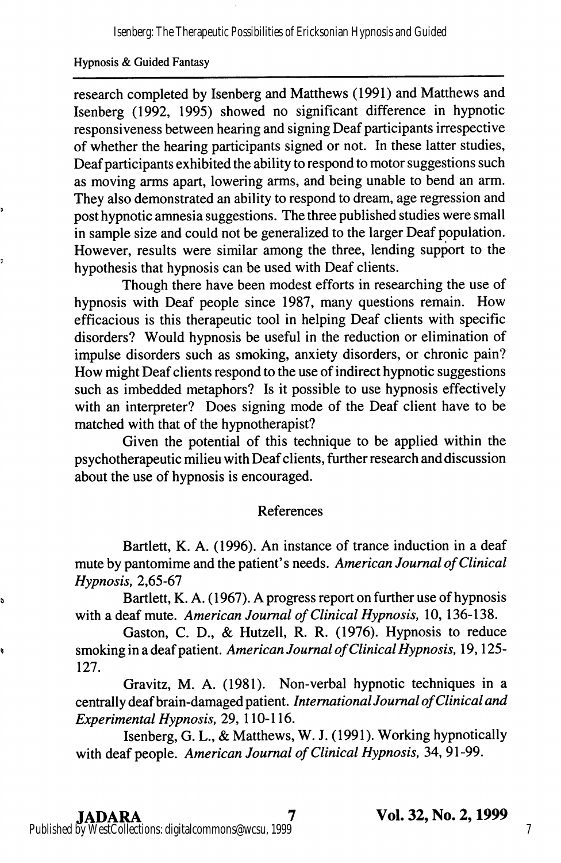#### Hypnosis & Guided Fantasy

research completed by Isenberg and Matthews (1991) and Matthews and Isenberg (1992, 1995) showed no significant difference in hypnotic responsiveness between hearing and signing Deaf participants irrespective of whether the hearing participants signed or not. In these latter studies. Deaf participants exhibited the ability to respond to motor suggestions such as moving arms apart, lowering arms, and being unable to bend an arm. They also demonstrated an ability to respond to dream, age regression and post hypnotic amnesia suggestions. The three published studies were small in sample size and could not be generalized to the larger Deaf population. However, results were similar among the three, lending support to the hypothesis that hypnosis can be used with Deaf clients.

Though there have been modest efforts in researching the use of hypnosis with Deaf people since 1987, many questions remain. How efficacious is this therapeutic tool in helping Deaf clients with specific disorders? Would hypnosis be useful in the reduction or elimination of impulse disorders such as smoking, anxiety disorders, or chronic pain? How might Deaf clients respond to the use of indirect hypnotic suggestions such as imbedded metaphors? Is it possible to use hypnosis effectively with an interpreter? Does signing mode of the Deaf client have to be matched with that of the hypnotherapist?

Given the potential of this technique to be applied within the psychotherapeutic milieu with Deaf clients, further research and discussion about the use of hypnosis is encouraged.

#### References

Bartlett, K. A. (1996). An instance of trance induction in a deaf mute by pantomime and the patient's needs. American Journal of Clinical Hypnosis, 2,65-67

Bartlett, K. A. (1967). A progress report on further use of hypnosis with a deaf mute. American Journal of Clinical Hypnosis, 10, 136-138.

Gaston, C. D., & Hutzell, R. R. (1976). Hypnosis to reduce smoking in a deaf patient. American Journal of Clinical Hypnosis, 19, 125-127.

Gravitz, M. A. (1981). Non-verbal hypnotic techniques in a centrally deaf brain-damaged patient. International Journal of Clinical and Experimental Hypnosis, 29, 110-116.

Isenberg, G. L., & Matthews, W. J. (1991). Working hypnotically with deaf people. American Journal of Clinical Hypnosis, 34, 91-99.

s